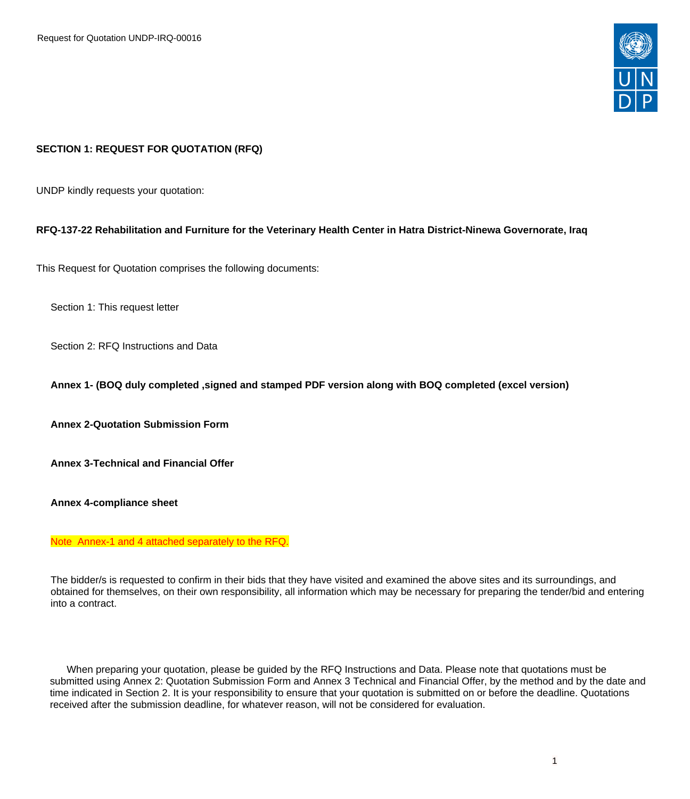

# **SECTION 1: REQUEST FOR QUOTATION (RFQ)**

UNDP kindly requests your quotation:

#### **RFQ-137-22 Rehabilitation and Furniture for the Veterinary Health Center in Hatra District-Ninewa Governorate, Iraq**

This Request for Quotation comprises the following documents:

Section 1: This request letter

Section 2: RFQ Instructions and Data

**Annex 1- (BOQ duly completed ,signed and stamped PDF version along with BOQ completed (excel version)**

**Annex 2-Quotation Submission Form**

**Annex 3-Technical and Financial Offer** 

**Annex 4-compliance sheet**

Note Annex-1 and 4 attached separately to the RFQ.

The bidder/s is requested to confirm in their bids that they have visited and examined the above sites and its surroundings, and obtained for themselves, on their own responsibility, all information which may be necessary for preparing the tender/bid and entering into a contract.

 When preparing your quotation, please be guided by the RFQ Instructions and Data. Please note that quotations must be submitted using Annex 2: Quotation Submission Form and Annex 3 Technical and Financial Offer, by the method and by the date and time indicated in Section 2. It is your responsibility to ensure that your quotation is submitted on or before the deadline. Quotations received after the submission deadline, for whatever reason, will not be considered for evaluation.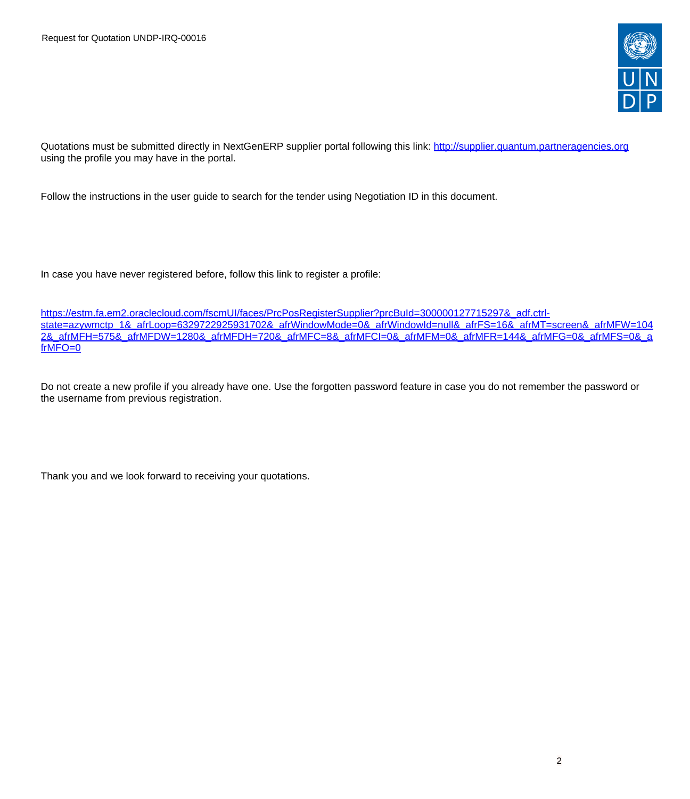

Quotations must be submitted directly in NextGenERP supplier portal following this link:<http://supplier.quantum.partneragencies.org> using the profile you may have in the portal.

Follow the instructions in the user guide to search for the tender using Negotiation ID in this document.

In case you have never registered before, follow this link to register a profile:

[https://estm.fa.em2.oraclecloud.com/fscmUI/faces/PrcPosRegisterSupplier?prcBuId=300000127715297&\\_adf.ctrl](https://estm.fa.em2.oraclecloud.com/fscmUI/faces/PrcPosRegisterSupplier?prcBuId=300000127715297&_adf.ctrl-state=azywmctp_1&_afrLoop=6329722925931702&_afrWindowMode=0&_afrWindowId=null&_afrFS=16&_afrMT=screen&_afrMFW=1042&_afrMFH=575&_afrMFDW=1280&_afrMFDH=720&_afrMFC=8&_afrMFCI=0&_afrMFM=0&_afrMFR=144&_afrMFG=0&_afrMFS=0&_afrMFO=0)[state=azywmctp\\_1&\\_afrLoop=6329722925931702&\\_afrWindowMode=0&\\_afrWindowId=null&\\_afrFS=16&\\_afrMT=screen&\\_afrMFW=104](https://estm.fa.em2.oraclecloud.com/fscmUI/faces/PrcPosRegisterSupplier?prcBuId=300000127715297&_adf.ctrl-state=azywmctp_1&_afrLoop=6329722925931702&_afrWindowMode=0&_afrWindowId=null&_afrFS=16&_afrMT=screen&_afrMFW=1042&_afrMFH=575&_afrMFDW=1280&_afrMFDH=720&_afrMFC=8&_afrMFCI=0&_afrMFM=0&_afrMFR=144&_afrMFG=0&_afrMFS=0&_afrMFO=0) [2&\\_afrMFH=575&\\_afrMFDW=1280&\\_afrMFDH=720&\\_afrMFC=8&\\_afrMFCI=0&\\_afrMFM=0&\\_afrMFR=144&\\_afrMFG=0&\\_afrMFS=0&\\_a](https://estm.fa.em2.oraclecloud.com/fscmUI/faces/PrcPosRegisterSupplier?prcBuId=300000127715297&_adf.ctrl-state=azywmctp_1&_afrLoop=6329722925931702&_afrWindowMode=0&_afrWindowId=null&_afrFS=16&_afrMT=screen&_afrMFW=1042&_afrMFH=575&_afrMFDW=1280&_afrMFDH=720&_afrMFC=8&_afrMFCI=0&_afrMFM=0&_afrMFR=144&_afrMFG=0&_afrMFS=0&_afrMFO=0) [frMFO=0](https://estm.fa.em2.oraclecloud.com/fscmUI/faces/PrcPosRegisterSupplier?prcBuId=300000127715297&_adf.ctrl-state=azywmctp_1&_afrLoop=6329722925931702&_afrWindowMode=0&_afrWindowId=null&_afrFS=16&_afrMT=screen&_afrMFW=1042&_afrMFH=575&_afrMFDW=1280&_afrMFDH=720&_afrMFC=8&_afrMFCI=0&_afrMFM=0&_afrMFR=144&_afrMFG=0&_afrMFS=0&_afrMFO=0)

Do not create a new profile if you already have one. Use the forgotten password feature in case you do not remember the password or the username from previous registration.

Thank you and we look forward to receiving your quotations.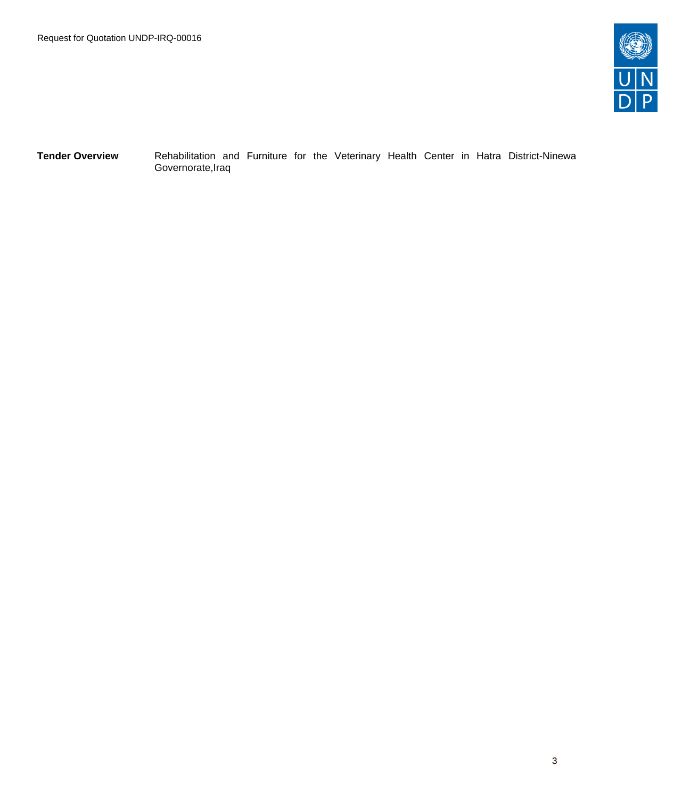

**Tender Overview** Rehabilitation and Furniture for the Veterinary Health Center in Hatra District-Ninewa Governorate,Iraq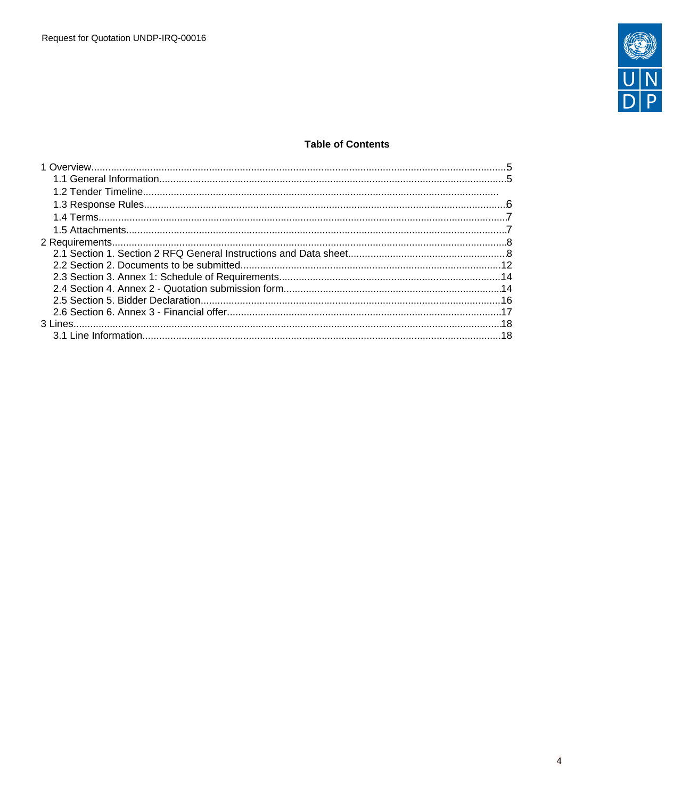

# **Table of Contents**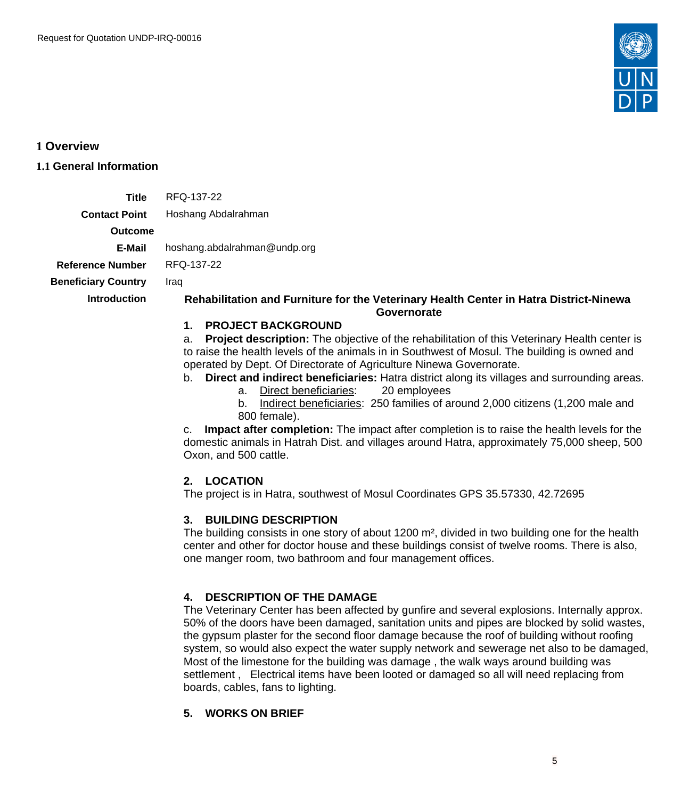

<span id="page-4-0"></span>**1 Overview**

# <span id="page-4-1"></span>**1.1 General Information**

**Title** RFQ-137-22

**Contact Point** Hoshang Abdalrahman

**Outcome**

**E-Mail** hoshang.abdalrahman@undp.org

**Reference Number** RFQ-137-22 **Beneficiary Country** Iraq

#### **Introduction Rehabilitation and Furniture for the Veterinary Health Center in Hatra District-Ninewa Governorate**

# **1. PROJECT BACKGROUND**

a. **Project description:** The objective of the rehabilitation of this Veterinary Health center is to raise the health levels of the animals in in Southwest of Mosul. The building is owned and operated by Dept. Of Directorate of Agriculture Ninewa Governorate.

- b. **Direct and indirect beneficiaries:** Hatra district along its villages and surrounding areas.
	- a. Direct beneficiaries: 20 employees

b. Indirect beneficiaries: 250 families of around 2,000 citizens (1,200 male and 800 female).

c. **Impact after completion:** The impact after completion is to raise the health levels for the domestic animals in Hatrah Dist. and villages around Hatra, approximately 75,000 sheep, 500 Oxon, and 500 cattle.

# **2. LOCATION**

The project is in Hatra, southwest of Mosul Coordinates GPS 35.57330, 42.72695

# **3. BUILDING DESCRIPTION**

The building consists in one story of about 1200 m<sup>2</sup>, divided in two building one for the health center and other for doctor house and these buildings consist of twelve rooms. There is also, one manger room, two bathroom and four management offices.

# **4. DESCRIPTION OF THE DAMAGE**

The Veterinary Center has been affected by gunfire and several explosions. Internally approx. 50% of the doors have been damaged, sanitation units and pipes are blocked by solid wastes, the gypsum plaster for the second floor damage because the roof of building without roofing system, so would also expect the water supply network and sewerage net also to be damaged, Most of the limestone for the building was damage , the walk ways around building was settlement , Electrical items have been looted or damaged so all will need replacing from boards, cables, fans to lighting.

# **5. WORKS ON BRIEF**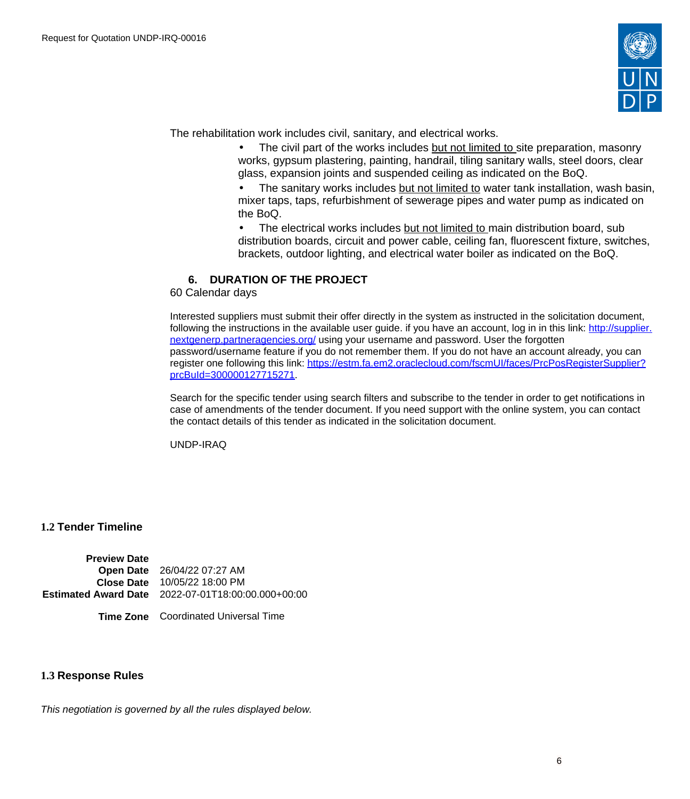

The rehabilitation work includes civil, sanitary, and electrical works.

The civil part of the works includes but not limited to site preparation, masonry works, gypsum plastering, painting, handrail, tiling sanitary walls, steel doors, clear glass, expansion joints and suspended ceiling as indicated on the BoQ.

The sanitary works includes but not limited to water tank installation, wash basin, mixer taps, taps, refurbishment of sewerage pipes and water pump as indicated on the BoQ.

• The electrical works includes but not limited to main distribution board, sub distribution boards, circuit and power cable, ceiling fan, fluorescent fixture, switches, brackets, outdoor lighting, and electrical water boiler as indicated on the BoQ.

# **6. DURATION OF THE PROJECT**

60 Calendar days

Interested suppliers must submit their offer directly in the system as instructed in the solicitation document, following the instructions in the available user guide. if you have an account, log in in this link: [http://supplier.](http://supplier.nextgenerp.partneragencies.org/) [nextgenerp.partneragencies.org/](http://supplier.nextgenerp.partneragencies.org/) using your username and password. User the forgotten password/username feature if you do not remember them. If you do not have an account already, you can register one following this link: [https://estm.fa.em2.oraclecloud.com/fscmUI/faces/PrcPosRegisterSupplier?](https://estm.fa.em2.oraclecloud.com/fscmUI/faces/PrcPosRegisterSupplier?prcBuId=300000127715271) [prcBuId=300000127715271](https://estm.fa.em2.oraclecloud.com/fscmUI/faces/PrcPosRegisterSupplier?prcBuId=300000127715271).

Search for the specific tender using search filters and subscribe to the tender in order to get notifications in case of amendments of the tender document. If you need support with the online system, you can contact the contact details of this tender as indicated in the solicitation document.

UNDP-IRAQ

**1.2 Tender Timeline**

**Preview Date Open Date** 26/04/22 07:27 AM **Close Date** 10/05/22 18:00 PM **Estimated Award Date** 2022-07-01T18:00:00.000+00:00

**Time Zone** Coordinated Universal Time

# <span id="page-5-0"></span>**1.3 Response Rules**

This negotiation is governed by all the rules displayed below.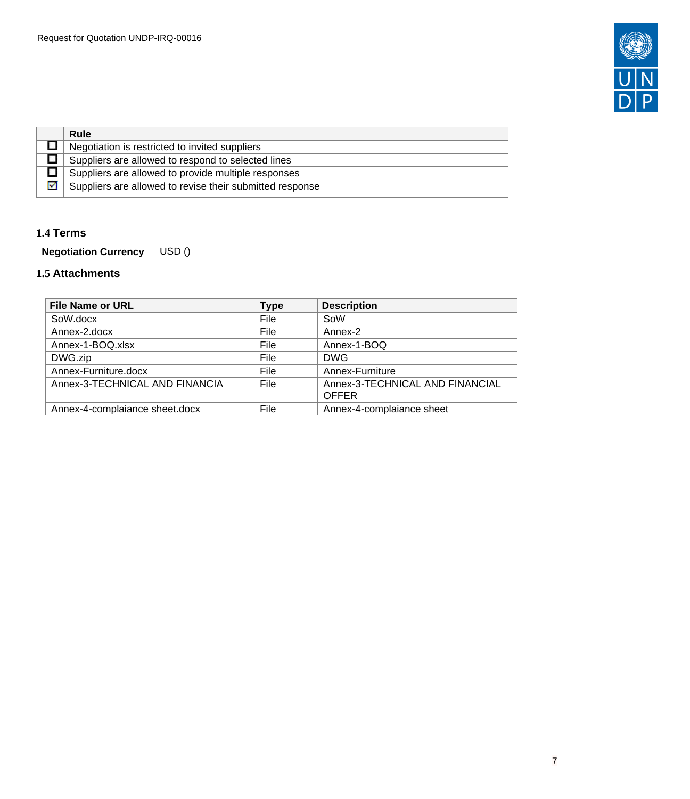

|   | Rule                                                     |
|---|----------------------------------------------------------|
|   | Negotiation is restricted to invited suppliers           |
|   | Suppliers are allowed to respond to selected lines       |
|   | Suppliers are allowed to provide multiple responses      |
| M | Suppliers are allowed to revise their submitted response |

# <span id="page-6-0"></span>**1.4 Terms**

**Negotiation Currency** USD ()

# <span id="page-6-1"></span>**1.5 Attachments**

| <b>File Name or URL</b>        | <b>Type</b> | <b>Description</b>                              |
|--------------------------------|-------------|-------------------------------------------------|
| SoW.docx                       | File        | SoW                                             |
| Annex-2.docx                   | File        | Annex-2                                         |
| Annex-1-BOQ.xlsx               | File        | Annex-1-BOQ                                     |
| DWG.zip                        | File        | <b>DWG</b>                                      |
| Annex-Furniture.docx           | File        | Annex-Furniture                                 |
| Annex-3-TECHNICAL AND FINANCIA | File        | Annex-3-TECHNICAL AND FINANCIAL<br><b>OFFER</b> |
| Annex-4-complaiance sheet.docx | File        | Annex-4-complaiance sheet                       |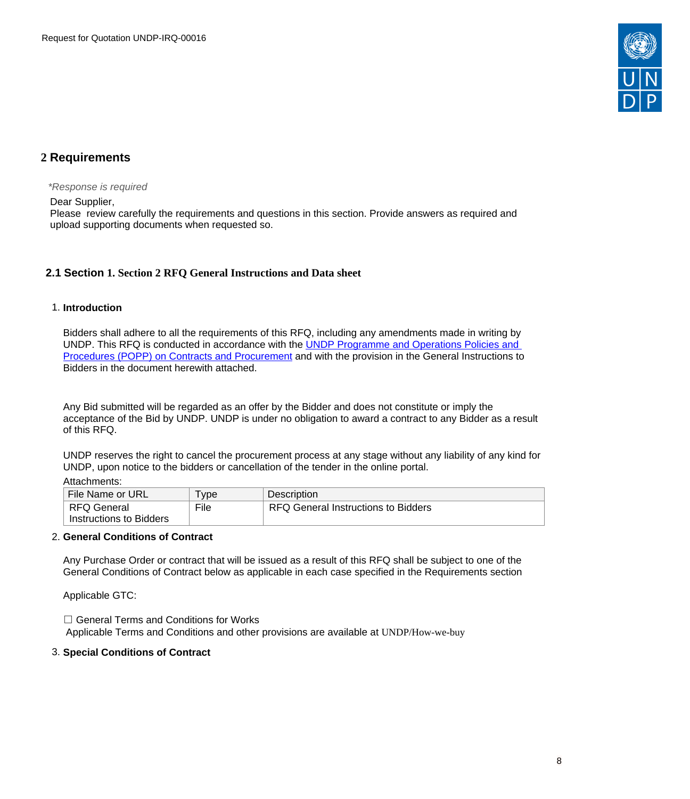

# <span id="page-7-0"></span>**2 Requirements**

\*Response is required

Dear Supplier,

Please review carefully the requirements and questions in this section. Provide answers as required and upload supporting documents when requested so.

# <span id="page-7-1"></span>**2.1 Section 1. Section 2 RFQ General Instructions and Data sheet**

#### 1. **Introduction**

Bidders shall adhere to all the requirements of this RFQ, including any amendments made in writing by UNDP. This RFQ is conducted in accordance with the UNDP Programme and Operations Policies and [Procedures \(POPP\) on Contracts and Procurement](https://popp.undp.org/SitePages/POPPBSUnit.aspx?TermID=254a9f96-b883-476a-8ef8-e81f93a2b38d&Menu=BusinessUnit) and with the provision in the General Instructions to Bidders in the document herewith attached.

Any Bid submitted will be regarded as an offer by the Bidder and does not constitute or imply the acceptance of the Bid by UNDP. UNDP is under no obligation to award a contract to any Bidder as a result of this RFQ.

UNDP reserves the right to cancel the procurement process at any stage without any liability of any kind for UNDP, upon notice to the bidders or cancellation of the tender in the online portal.

#### Attachments:

| File Name or URL        | vpe  | <b>Description</b>                  |
|-------------------------|------|-------------------------------------|
| ∣ RFQ General           | File | RFQ General Instructions to Bidders |
| Instructions to Bidders |      |                                     |

### 2. **General Conditions of Contract**

Any Purchase Order or contract that will be issued as a result of this RFQ shall be subject to one of the General Conditions of Contract below as applicable in each case specified in the Requirements section

Applicable GTC:

☐ General Terms and Conditions for Works Applicable Terms and Conditions and other provisions are available at UNDP/How-we-buy

#### 3. **Special Conditions of Contract**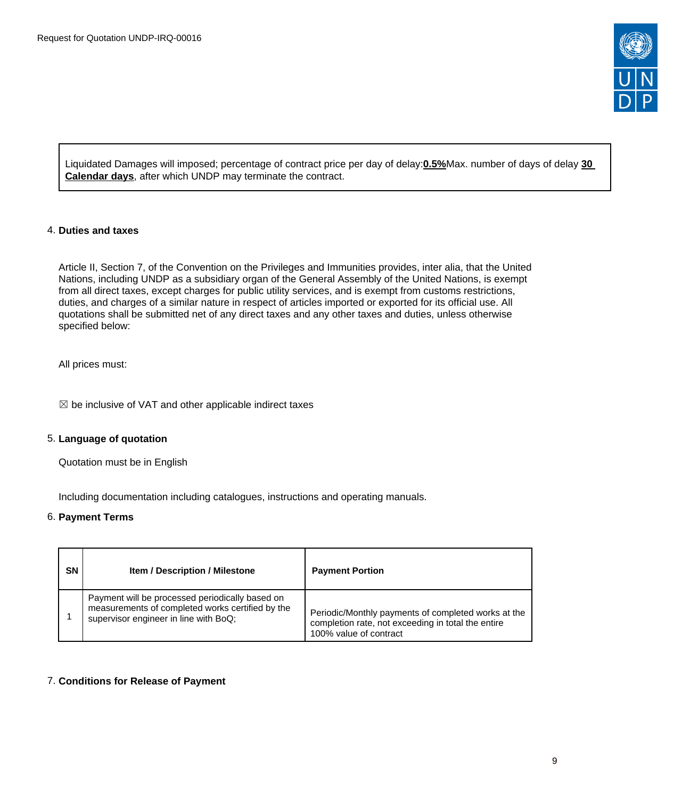

Liquidated Damages will imposed; percentage of contract price per day of delay:**0.5%**Max. number of days of delay **30 Calendar days**, after which UNDP may terminate the contract.

### 4. **Duties and taxes**

Article II, Section 7, of the Convention on the Privileges and Immunities provides, inter alia, that the United Nations, including UNDP as a subsidiary organ of the General Assembly of the United Nations, is exempt from all direct taxes, except charges for public utility services, and is exempt from customs restrictions, duties, and charges of a similar nature in respect of articles imported or exported for its official use. All quotations shall be submitted net of any direct taxes and any other taxes and duties, unless otherwise specified below:

All prices must:

 $\boxtimes$  be inclusive of VAT and other applicable indirect taxes

# 5. **Language of quotation**

Quotation must be in English

Including documentation including catalogues, instructions and operating manuals.

#### 6. **Payment Terms**

| SN | <b>Item / Description / Milestone</b>                                                                                                        | <b>Payment Portion</b>                                                                                                              |
|----|----------------------------------------------------------------------------------------------------------------------------------------------|-------------------------------------------------------------------------------------------------------------------------------------|
|    | Payment will be processed periodically based on<br>measurements of completed works certified by the<br>supervisor engineer in line with BoQ; | Periodic/Monthly payments of completed works at the<br>completion rate, not exceeding in total the entire<br>100% value of contract |

#### 7. **Conditions for Release of Payment**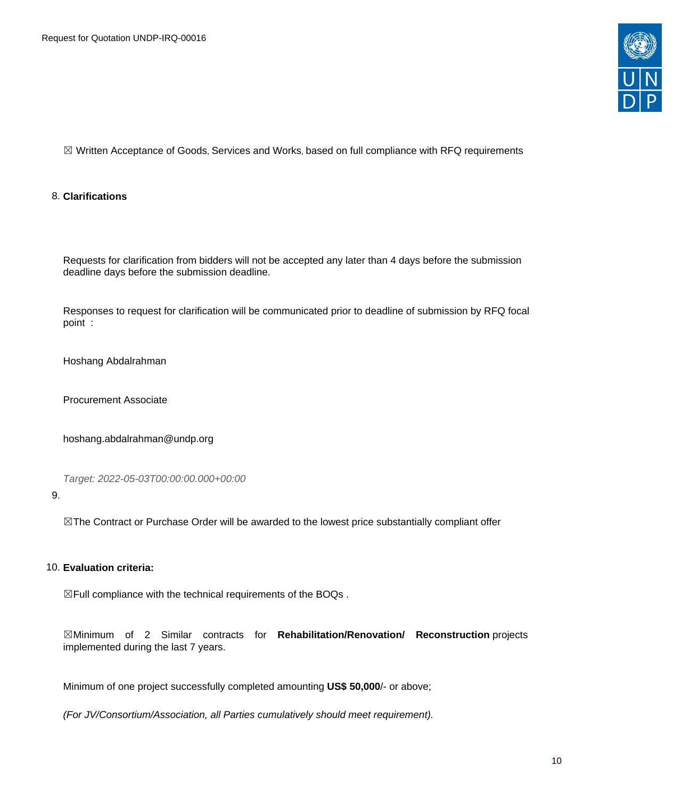

☒ Written Acceptance of Goods, Services and Works, based on full compliance with RFQ requirements

### 8. **Clarifications**

Requests for clarification from bidders will not be accepted any later than 4 days before the submission deadline days before the submission deadline.

Responses to request for clarification will be communicated prior to deadline of submission by RFQ focal point :

Hoshang Abdalrahman

Procurement Associate

hoshang.abdalrahman@undp.org

Target: 2022-05-03T00:00:00.000+00:00

#### 9.

⊠The Contract or Purchase Order will be awarded to the lowest price substantially compliant offer

#### 10. **Evaluation criteria:**

☒Full compliance with the technical requirements of the BOQs .

☒Minimum of 2 Similar contracts for **Rehabilitation/Renovation/ Reconstruction** projects implemented during the last 7 years.

Minimum of one project successfully completed amounting **US\$ 50,000**/- or above;

(For JV/Consortium/Association, all Parties cumulatively should meet requirement).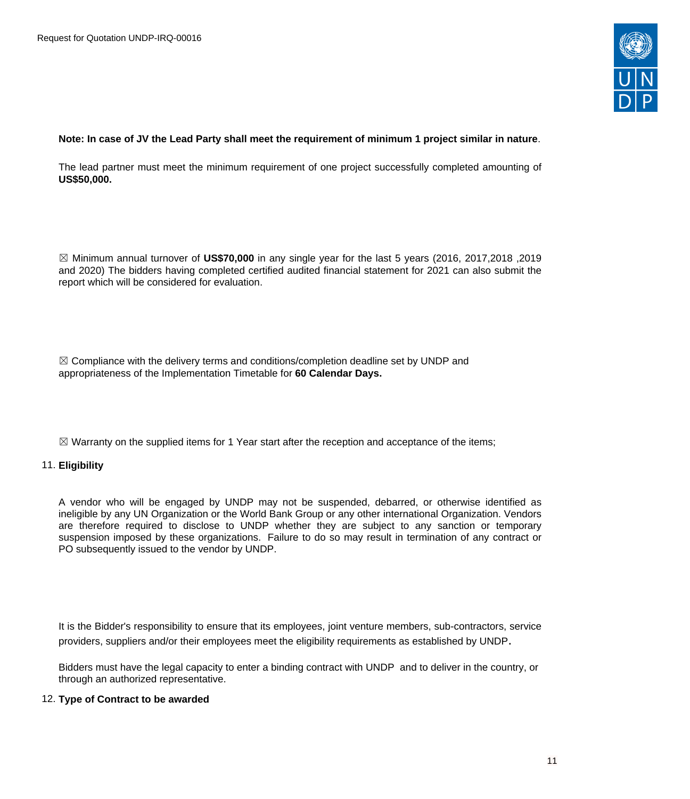

#### Note: In case of JV the Lead Party shall meet the requirement of minimum 1 project similar in nature.

The lead partner must meet the minimum requirement of one project successfully completed amounting of **US\$50,000.**

☒ Minimum annual turnover of **US\$70,000** in any single year for the last 5 years (2016, 2017,2018 ,2019 and 2020) The bidders having completed certified audited financial statement for 2021 can also submit the report which will be considered for evaluation.

 $\boxtimes$  Compliance with the delivery terms and conditions/completion deadline set by UNDP and appropriateness of the Implementation Timetable for **60 Calendar Days.**

 $\boxtimes$  Warranty on the supplied items for 1 Year start after the reception and acceptance of the items;

#### 11. **Eligibility**

A vendor who will be engaged by UNDP may not be suspended, debarred, or otherwise identified as ineligible by any UN Organization or the World Bank Group or any other international Organization. Vendors are therefore required to disclose to UNDP whether they are subject to any sanction or temporary suspension imposed by these organizations. Failure to do so may result in termination of any contract or PO subsequently issued to the vendor by UNDP.

It is the Bidder's responsibility to ensure that its employees, joint venture members, sub-contractors, service providers, suppliers and/or their employees meet the eligibility requirements as established by UNDP.

Bidders must have the legal capacity to enter a binding contract with UNDP and to deliver in the country, or through an authorized representative.

#### 12. **Type of Contract to be awarded**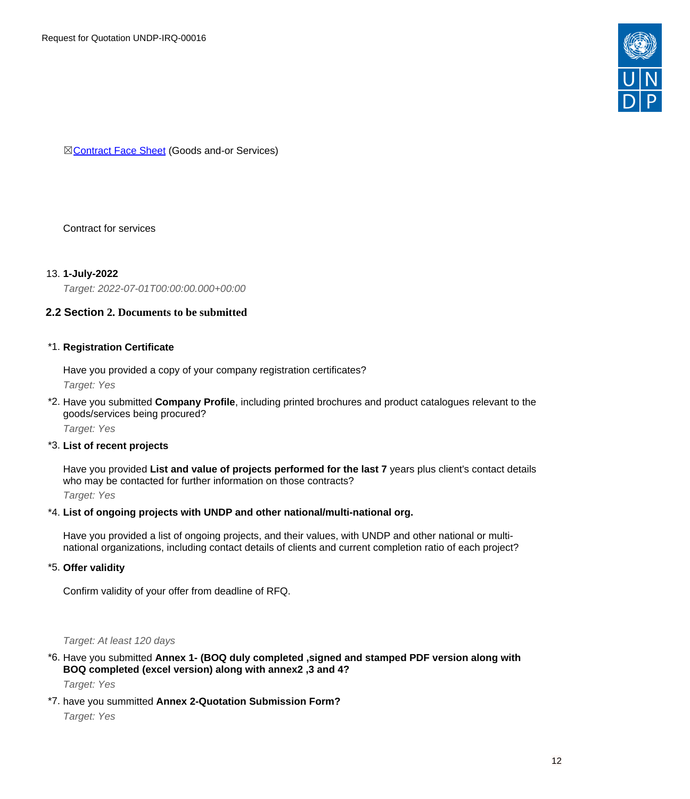

**⊠[Contract Face Sheet](https://popp.undp.org/_layouts/15/WopiFrame.aspx?sourcedoc=/UNDP_POPP_DOCUMENT_LIBRARY/Public/PSU_General%20Considerations%20of%20Contracting_Contract%20Face%20Sheet%20(Goods%20and-or%20Services)%20UNDP%20-%20Sept%202017.doc&action=default) (Goods and-or Services)** 

# Contract for services

# 13. **1-July-2022**

Target: 2022-07-01T00:00:00.000+00:00

# <span id="page-11-0"></span>**2.2 Section 2. Documents to be submitted**

#### \*1. **Registration Certificate**

Have you provided a copy of your company registration certificates? Target: Yes

\*2. Have you submitted **Company Profile**, including printed brochures and product catalogues relevant to the goods/services being procured?

Target: Yes

# \*3. **List of recent projects**

Have you provided **List and value of projects performed for the last 7** years plus client's contact details who may be contacted for further information on those contracts?

Target: Yes

#### \*4. **List of ongoing projects with UNDP and other national/multi-national org.**

Have you provided a list of ongoing projects, and their values, with UNDP and other national or multinational organizations, including contact details of clients and current completion ratio of each project?

#### \*5. **Offer validity**

Confirm validity of your offer from deadline of RFQ.

#### Target: At least 120 days

- \*6. Have you submitted **Annex 1- (BOQ duly completed ,signed and stamped PDF version along with BOQ completed (excel version) along with annex2 ,3 and 4?** Target: Yes
- \*7. have you summitted **Annex 2-Quotation Submission Form?** Target: Yes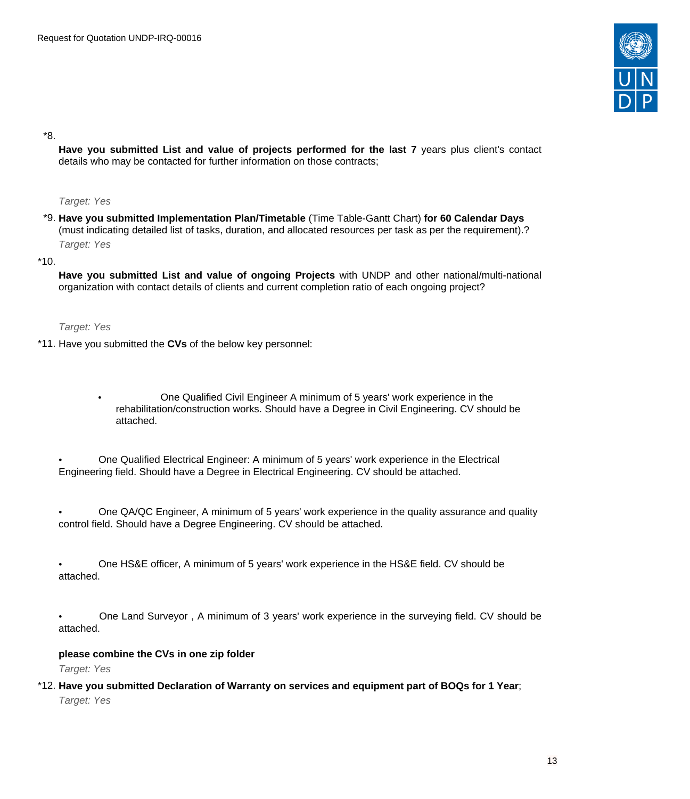

\*8.

**Have you submitted List and value of projects performed for the last 7** years plus client's contact details who may be contacted for further information on those contracts;

#### Target: Yes

\*9. **Have you submitted Implementation Plan/Timetable** (Time Table-Gantt Chart) **for 60 Calendar Days** (must indicating detailed list of tasks, duration, and allocated resources per task as per the requirement).? Target: Yes

\*10.

**Have you submitted List and value of ongoing Projects** with UNDP and other national/multi-national organization with contact details of clients and current completion ratio of each ongoing project?

Target: Yes

- \*11. Have you submitted the **CVs** of the below key personnel:
	- One Qualified Civil Engineer A minimum of 5 years' work experience in the rehabilitation/construction works. Should have a Degree in Civil Engineering. CV should be attached.
	- One Qualified Electrical Engineer: A minimum of 5 years' work experience in the Electrical Engineering field. Should have a Degree in Electrical Engineering. CV should be attached.
	- One QA/QC Engineer, A minimum of 5 years' work experience in the quality assurance and quality control field. Should have a Degree Engineering. CV should be attached.
	- One HS&E officer, A minimum of 5 years' work experience in the HS&E field. CV should be attached.
	- One Land Surveyor , A minimum of 3 years' work experience in the surveying field. CV should be attached.

# **please combine the CVs in one zip folder**

Target: Yes

\*12. **Have you submitted Declaration of Warranty on services and equipment part of BOQs for 1 Year**; Target: Yes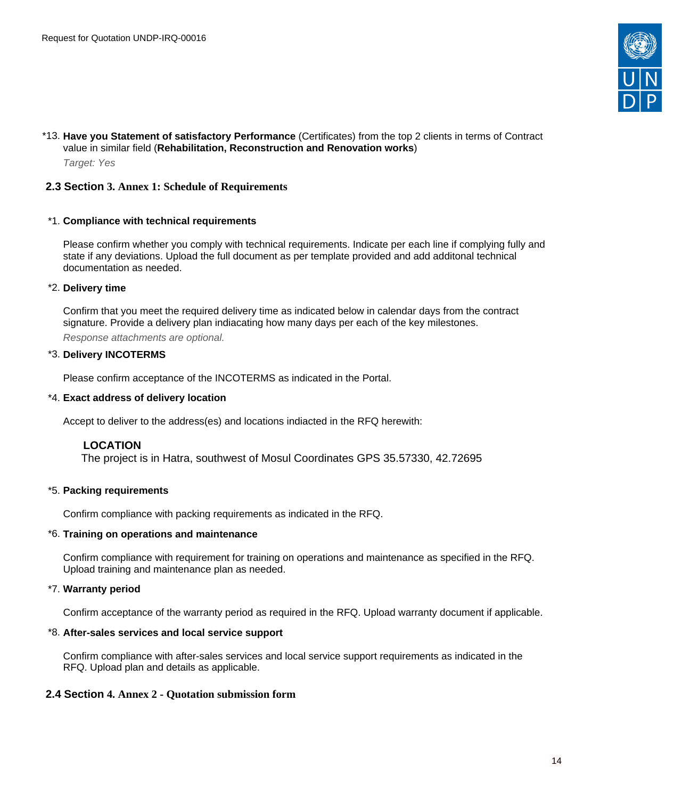

# \*13. **Have you Statement of satisfactory Performance** (Certificates) from the top 2 clients in terms of Contract value in similar field (**Rehabilitation, Reconstruction and Renovation works**) Target: Yes

# <span id="page-13-0"></span>**2.3 Section 3. Annex 1: Schedule of Requirements**

#### \*1. **Compliance with technical requirements**

Please confirm whether you comply with technical requirements. Indicate per each line if complying fully and state if any deviations. Upload the full document as per template provided and add additonal technical documentation as needed.

#### \*2. **Delivery time**

Confirm that you meet the required delivery time as indicated below in calendar days from the contract signature. Provide a delivery plan indiacating how many days per each of the key milestones.

Response attachments are optional*.*

#### \*3. **Delivery INCOTERMS**

Please confirm acceptance of the INCOTERMS as indicated in the Portal.

## \*4. **Exact address of delivery location**

Accept to deliver to the address(es) and locations indiacted in the RFQ herewith:

# **LOCATION**

The project is in Hatra, southwest of Mosul Coordinates GPS 35.57330, 42.72695

# \*5. **Packing requirements**

Confirm compliance with packing requirements as indicated in the RFQ.

#### \*6. **Training on operations and maintenance**

Confirm compliance with requirement for training on operations and maintenance as specified in the RFQ. Upload training and maintenance plan as needed.

# \*7. **Warranty period**

Confirm acceptance of the warranty period as required in the RFQ. Upload warranty document if applicable.

#### \*8. **After-sales services and local service support**

Confirm compliance with after-sales services and local service support requirements as indicated in the RFQ. Upload plan and details as applicable.

# <span id="page-13-1"></span>**2.4 Section 4. Annex 2 - Quotation submission form**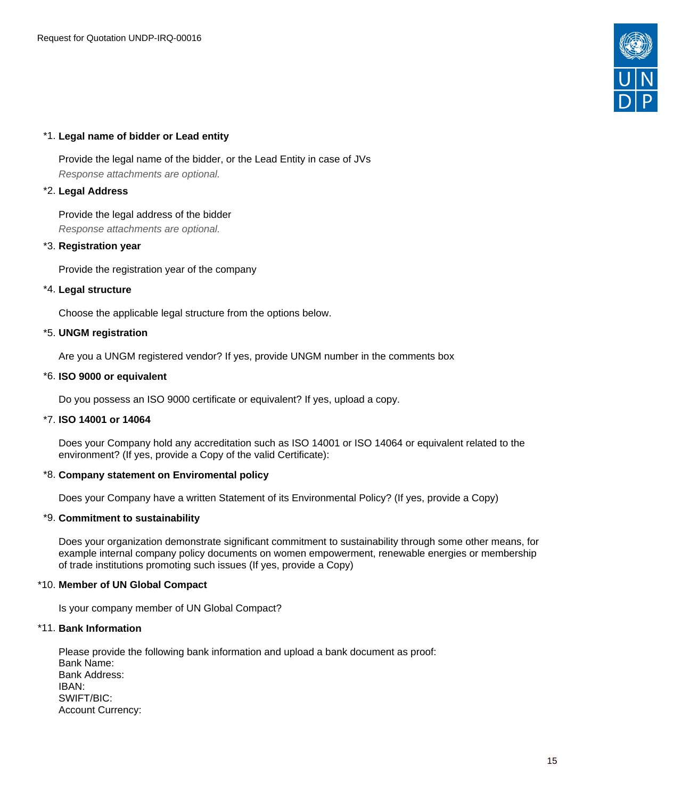

# \*1. **Legal name of bidder or Lead entity**

Provide the legal name of the bidder, or the Lead Entity in case of JVs Response attachments are optional*.*

## \*2. **Legal Address**

Provide the legal address of the bidder Response attachments are optional*.*

# \*3. **Registration year**

Provide the registration year of the company

# \*4. **Legal structure**

Choose the applicable legal structure from the options below.

#### \*5. **UNGM registration**

Are you a UNGM registered vendor? If yes, provide UNGM number in the comments box

#### \*6. **ISO 9000 or equivalent**

Do you possess an ISO 9000 certificate or equivalent? If yes, upload a copy.

#### \*7. **ISO 14001 or 14064**

Does your Company hold any accreditation such as ISO 14001 or ISO 14064 or equivalent related to the environment? (If yes, provide a Copy of the valid Certificate):

#### \*8. **Company statement on Enviromental policy**

Does your Company have a written Statement of its Environmental Policy? (If yes, provide a Copy)

# \*9. **Commitment to sustainability**

Does your organization demonstrate significant commitment to sustainability through some other means, for example internal company policy documents on women empowerment, renewable energies or membership of trade institutions promoting such issues (If yes, provide a Copy)

#### \*10. **Member of UN Global Compact**

Is your company member of UN Global Compact?

#### \*11. **Bank Information**

Please provide the following bank information and upload a bank document as proof: Bank Name: Bank Address: IBAN: SWIFT/BIC: Account Currency: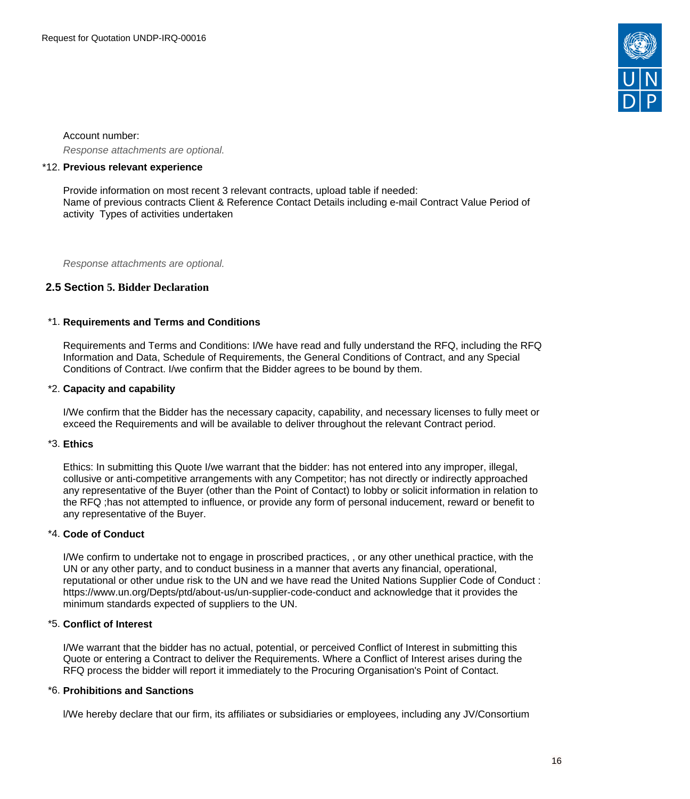

Account number: Response attachments are optional*.*

#### \*12. **Previous relevant experience**

Provide information on most recent 3 relevant contracts, upload table if needed: Name of previous contracts Client & Reference Contact Details including e-mail Contract Value Period of activity Types of activities undertaken

Response attachments are optional*.*

# <span id="page-15-0"></span>**2.5 Section 5. Bidder Declaration**

#### \*1. **Requirements and Terms and Conditions**

Requirements and Terms and Conditions: I/We have read and fully understand the RFQ, including the RFQ Information and Data, Schedule of Requirements, the General Conditions of Contract, and any Special Conditions of Contract. I/we confirm that the Bidder agrees to be bound by them.

#### \*2. **Capacity and capability**

I/We confirm that the Bidder has the necessary capacity, capability, and necessary licenses to fully meet or exceed the Requirements and will be available to deliver throughout the relevant Contract period.

#### \*3. **Ethics**

Ethics: In submitting this Quote I/we warrant that the bidder: has not entered into any improper, illegal, collusive or anti-competitive arrangements with any Competitor; has not directly or indirectly approached any representative of the Buyer (other than the Point of Contact) to lobby or solicit information in relation to the RFQ ;has not attempted to influence, or provide any form of personal inducement, reward or benefit to any representative of the Buyer.

# \*4. **Code of Conduct**

I/We confirm to undertake not to engage in proscribed practices, , or any other unethical practice, with the UN or any other party, and to conduct business in a manner that averts any financial, operational, reputational or other undue risk to the UN and we have read the United Nations Supplier Code of Conduct : https://www.un.org/Depts/ptd/about-us/un-supplier-code-conduct and acknowledge that it provides the minimum standards expected of suppliers to the UN.

#### \*5. **Conflict of Interest**

I/We warrant that the bidder has no actual, potential, or perceived Conflict of Interest in submitting this Quote or entering a Contract to deliver the Requirements. Where a Conflict of Interest arises during the RFQ process the bidder will report it immediately to the Procuring Organisation's Point of Contact.

#### \*6. **Prohibitions and Sanctions**

l/We hereby declare that our firm, its affiliates or subsidiaries or employees, including any JV/Consortium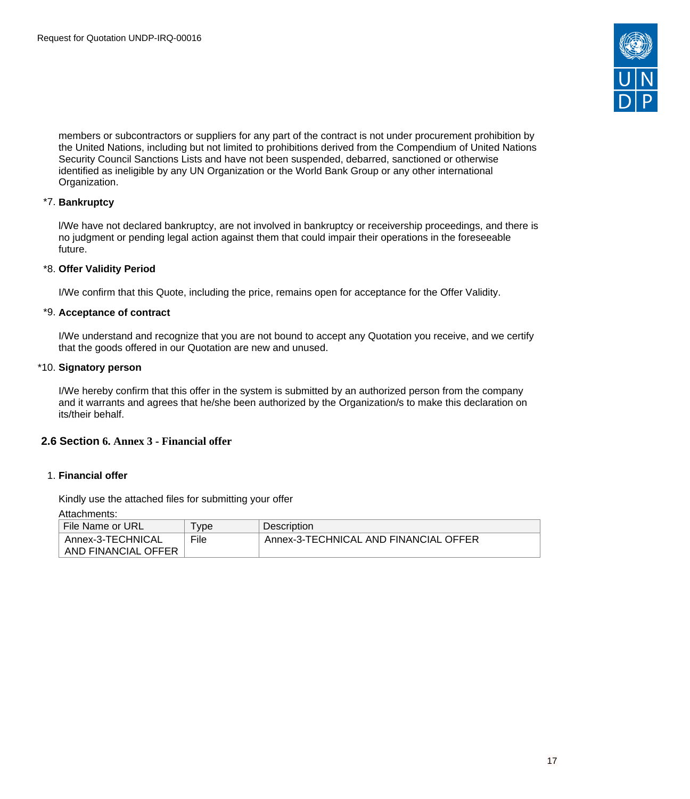

members or subcontractors or suppliers for any part of the contract is not under procurement prohibition by the United Nations, including but not limited to prohibitions derived from the Compendium of United Nations Security Council Sanctions Lists and have not been suspended, debarred, sanctioned or otherwise identified as ineligible by any UN Organization or the World Bank Group or any other international Organization.

# \*7. **Bankruptcy**

l/We have not declared bankruptcy, are not involved in bankruptcy or receivership proceedings, and there is no judgment or pending legal action against them that could impair their operations in the foreseeable future.

# \*8. **Offer Validity Period**

I/We confirm that this Quote, including the price, remains open for acceptance for the Offer Validity.

# \*9. **Acceptance of contract**

I/We understand and recognize that you are not bound to accept any Quotation you receive, and we certify that the goods offered in our Quotation are new and unused.

#### \*10. **Signatory person**

I/We hereby confirm that this offer in the system is submitted by an authorized person from the company and it warrants and agrees that he/she been authorized by the Organization/s to make this declaration on its/their behalf.

# <span id="page-16-0"></span>**2.6 Section 6. Annex 3 - Financial offer**

# 1. **Financial offer**

Kindly use the attached files for submitting your offer

Attachments:

| File Name or URL    | vpe  | Description                           |
|---------------------|------|---------------------------------------|
| Annex-3-TECHNICAL   | File | Annex-3-TECHNICAL AND FINANCIAL OFFER |
| AND FINANCIAL OFFER |      |                                       |